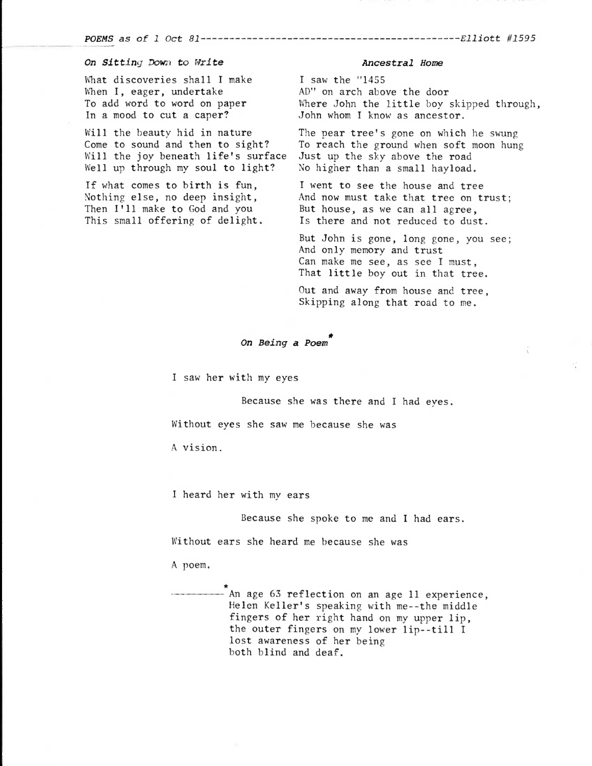POEMS as of 1 Oct 81 Elliott #1595

## On Sitting Down to Write

What discoveries shall I make When I, eager, undertake To add word to word on paper In a mood to cut a caper?

Will the beauty hid in nature Come to sound and then to sight? Will the joy beneath life's surface Well up through my soul to light?

If what comes to birth is fun, Nothing else, no deep insight, Then I'll make to God and you This small offering of delight.

## Ancestral Home

I saw the "1455 AD" on arch above the door Where John the little boy skipped through, John whom I know as ancestor.

The pear tree's gone on which he swung To reach the ground when soft moon hung Just up the sky above the road No higher than a small hayload.

I went to see the house and tree And now must take that tree on trust; But house, as we can all agree, Is there and not reduced to dust.

But John is gone, long gone, you see; And only memory and trust Can make me see, as see I must, That little boy out in that tree.

Out and away from house and tree, Skipping along that road to me.

## On Being a Poem

I saw her with my eyes

Because she was there and I had eyes.

Without eyes she saw me because she was

A vision.

I heard her with my ears

Because she spoke to me and I had ears.

Without ears she heard me because she was

A poem.

An age 63 reflection on an age 11 experience, Helen Keller's speaking with me--the middle fingers of her right hand on my upper lip, the outer fingers on my lower lip--till I lost awareness of her being both blind and deaf.